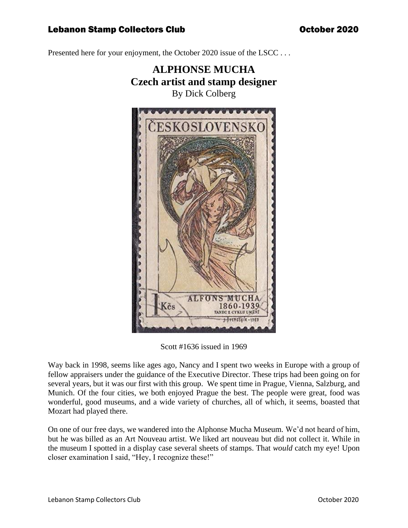Presented here for your enjoyment, the October 2020 issue of the LSCC ...



Scott #1636 issued in 1969

Way back in 1998, seems like ages ago, Nancy and I spent two weeks in Europe with a group of fellow appraisers under the guidance of the Executive Director. These trips had been going on for several years, but it was our first with this group. We spent time in Prague, Vienna, Salzburg, and Munich. Of the four cities, we both enjoyed Prague the best. The people were great, food was wonderful, good museums, and a wide variety of churches, all of which, it seems, boasted that Mozart had played there.

On one of our free days, we wandered into the Alphonse Mucha Museum. We'd not heard of him, but he was billed as an Art Nouveau artist. We liked art nouveau but did not collect it. While in the museum I spotted in a display case several sheets of stamps. That *would* catch my eye! Upon closer examination I said, "Hey, I recognize these!"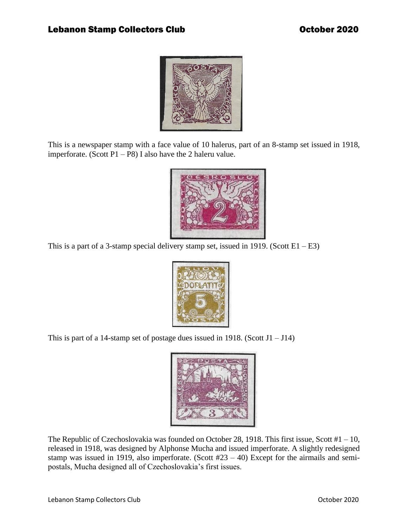

This is a newspaper stamp with a face value of 10 halerus, part of an 8-stamp set issued in 1918, imperforate. (Scott  $P1 - P8$ ) I also have the 2 haleru value.



This is a part of a 3-stamp special delivery stamp set, issued in 1919. (Scott  $E1 - E3$ )



This is part of a 14-stamp set of postage dues issued in 1918. (Scott  $J1 - J14$ )



The Republic of Czechoslovakia was founded on October 28, 1918. This first issue, Scott #1 – 10, released in 1918, was designed by Alphonse Mucha and issued imperforate. A slightly redesigned stamp was issued in 1919, also imperforate. (Scott  $#23 - 40$ ) Except for the airmails and semipostals, Mucha designed all of Czechoslovakia's first issues.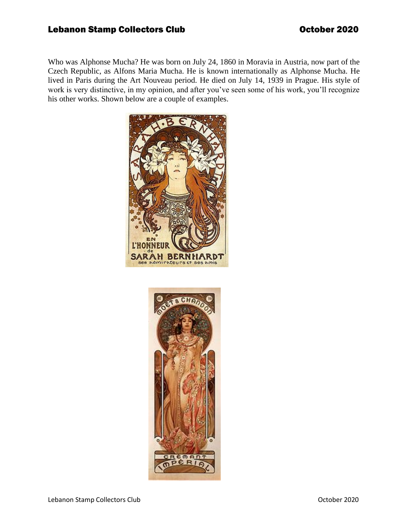Who was Alphonse Mucha? He was born on July 24, 1860 in Moravia in Austria, now part of the Czech Republic, as Alfons Maria Mucha. He is known internationally as Alphonse Mucha. He lived in Paris during the Art Nouveau period. He died on July 14, 1939 in Prague. His style of work is very distinctive, in my opinion, and after you've seen some of his work, you'll recognize his other works. Shown below are a couple of examples.



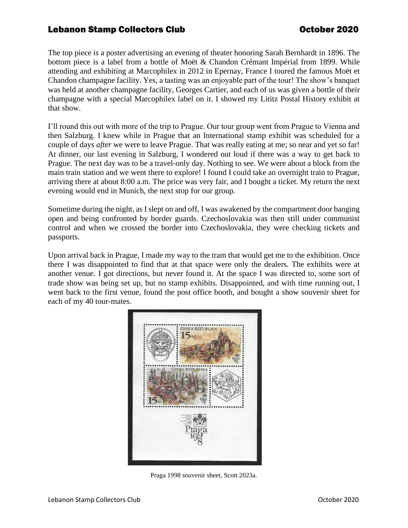The top piece is a poster advertising an evening of theater honoring Sarah Bernhardt in 1896. The bottom piece is a label from a bottle of Moët & Chandon Crémant Impérial from 1899. While attending and exhibiting at Marcophilex in 2012 in Epernay, France I toured the famous Moët et Chandon champagne facility. Yes, a tasting was an enjoyable part of the tour! The show's banquet was held at another champagne facility, Georges Cartier, and each of us was given a bottle of their champagne with a special Marcophilex label on it. I showed my Lititz Postal History exhibit at that show.

I'll round this out with more of the trip to Prague. Our tour group went from Prague to Vienna and then Salzburg. I knew while in Prague that an International stamp exhibit was scheduled for a couple of days *after* we were to leave Prague. That was really eating at me; so near and yet so far! At dinner, our last evening in Salzburg, I wondered out loud if there was a way to get back to Prague. The next day was to be a travel-only day. Nothing to see. We were about a block from the main train station and we went there to explore! I found I could take an overnight train to Prague, arriving there at about 8:00 a.m. The price was very fair, and I bought a ticket. My return the next evening would end in Munich, the next stop for our group.

Sometime during the night, as I slept on and off, I was awakened by the compartment door banging open and being confronted by border guards. Czechoslovakia was then still under communist control and when we crossed the border into Czechoslovakia, they were checking tickets and passports.

Upon arrival back in Prague, I made my way to the tram that would get me to the exhibition. Once there I was disappointed to find that at that space were only the dealers. The exhibits were at another venue. I got directions, but never found it. At the space I was directed to, some sort of trade show was being set up, but no stamp exhibits. Disappointed, and with time running out, I went back to the first venue, found the post office booth, and bought a show souvenir sheet for each of my 40 tour-mates.



Praga 1998 souvenir sheet, Scott 2023a.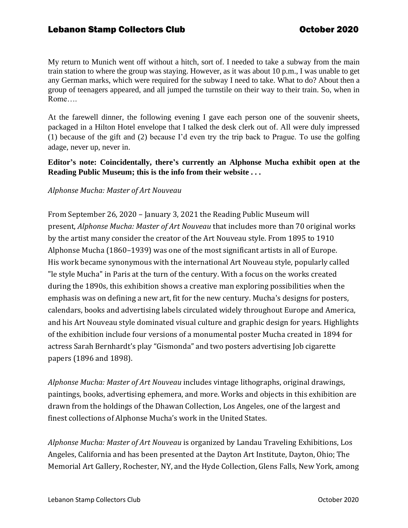My return to Munich went off without a hitch, sort of. I needed to take a subway from the main train station to where the group was staying. However, as it was about 10 p.m., I was unable to get any German marks, which were required for the subway I need to take. What to do? About then a group of teenagers appeared, and all jumped the turnstile on their way to their train. So, when in Rome….

At the farewell dinner, the following evening I gave each person one of the souvenir sheets, packaged in a Hilton Hotel envelope that I talked the desk clerk out of. All were duly impressed (1) because of the gift and (2) because I'd even try the trip back to Prague. To use the golfing adage, never up, never in.

#### **Editor's note: Coincidentally, there's currently an Alphonse Mucha exhibit open at the Reading Public Museum; this is the info from their website . . .**

## *Alphonse Mucha: Master of Art Nouveau*

From September 26, 2020 – January 3, 2021 the Reading Public Museum will present, *Alphonse Mucha: Master of Art Nouveau* that includes more than 70 original works by the artist many consider the creator of the Art Nouveau style. From 1895 to 1910 Alphonse Mucha (1860–1939) was one of the most significant artists in all of Europe. His work became synonymous with the international Art Nouveau style, popularly called "le style Mucha" in Paris at the turn of the century. With a focus on the works created during the 1890s, this exhibition shows a creative man exploring possibilities when the emphasis was on defining a new art, fit for the new century. Mucha's designs for posters, calendars, books and advertising labels circulated widely throughout Europe and America, and his Art Nouveau style dominated visual culture and graphic design for years. Highlights of the exhibition include four versions of a monumental poster Mucha created in 1894 for actress Sarah Bernhardt's play "Gismonda" and two posters advertising Job cigarette papers (1896 and 1898).

*Alphonse Mucha: Master of Art Nouveau* includes vintage lithographs, original drawings, paintings, books, advertising ephemera, and more. Works and objects in this exhibition are drawn from the holdings of the Dhawan Collection, Los Angeles, one of the largest and finest collections of Alphonse Mucha's work in the United States.

*Alphonse Mucha: Master of Art Nouveau* is organized by Landau Traveling Exhibitions, Los Angeles, California and has been presented at the Dayton Art Institute, Dayton, Ohio; The Memorial Art Gallery, Rochester, NY, and the Hyde Collection, Glens Falls, New York, among